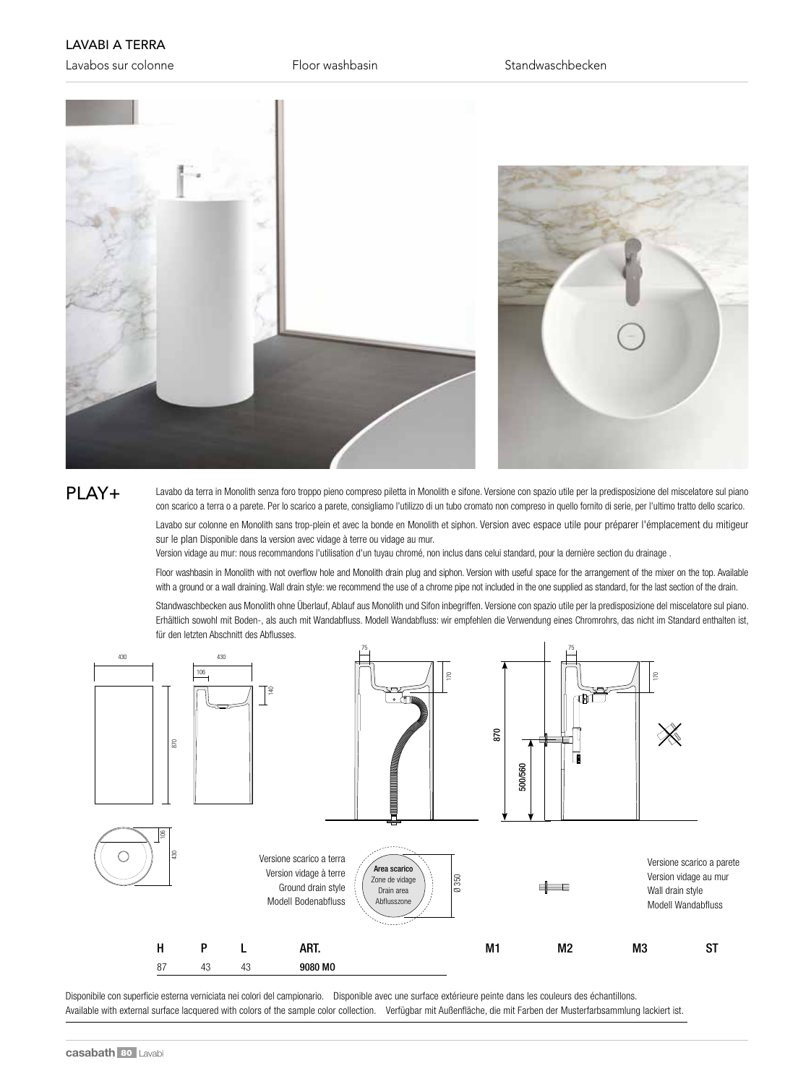## LAVABI A TERRA

Lavabos sur colonne The Floor washbasin Standwaschbecken



## PLAY+

Lavabo da terra in Monolith senza foro troppo pieno compreso piletta in Monolith e sifone. Versione con spazio utile per la predisposizione del miscelatore sul piano con scarico a terra o a parete. Per lo scarico a parete, consigliamo l'utilizzo di un tubo cromato non compreso in quello fornito di serie, per l'ultimo tratto dello scarico.

Lavabo sur colonne en Monolith sans trop-plein et avec la bonde en Monolith et siphon. Version avec espace utile pour préparer l'émplacement du mitigeur sur le plan Disponible dans la version avec vidage à terre ou vidage au mur.

Version vidage au mur: nous recommandons l'utilisation d'un tuyau chromé, non inclus dans celui standard, pour la dernière section du drainage .

Floor washbasin in Monolith with not overflow hole and Monolith drain plug and siphon. Version with useful space for the arrangement of the mixer on the top. Available with a ground or a wall draining. Wall drain style: we recommend the use of a chrome pipe not included in the one supplied as standard, for the last section of the drain.

Standwaschbecken aus Monolith ohne Überlauf, Ablauf aus Monolith und Sifon inbegriffen. Versione con spazio utile per la predisposizione del miscelatore sul piano. Erhältlich sowohl mit Boden-, als auch mit Wandabfluss. Modell Wandabfluss: wir empfehlen die Verwendung eines Chromrohrs, das nicht im Standard enthalten ist, für den letzten Abschnitt des Abflusses.



Disponibile con superficie esterna verniciata nei colori del campionario. Disponible avec une surface extérieure peinte dans les couleurs des échantillons. Available with external surface lacquered with colors of the sample color collection. Verfügbar mit Außenfläche, die mit Farben der Musterfarbsammlung lackiert ist.